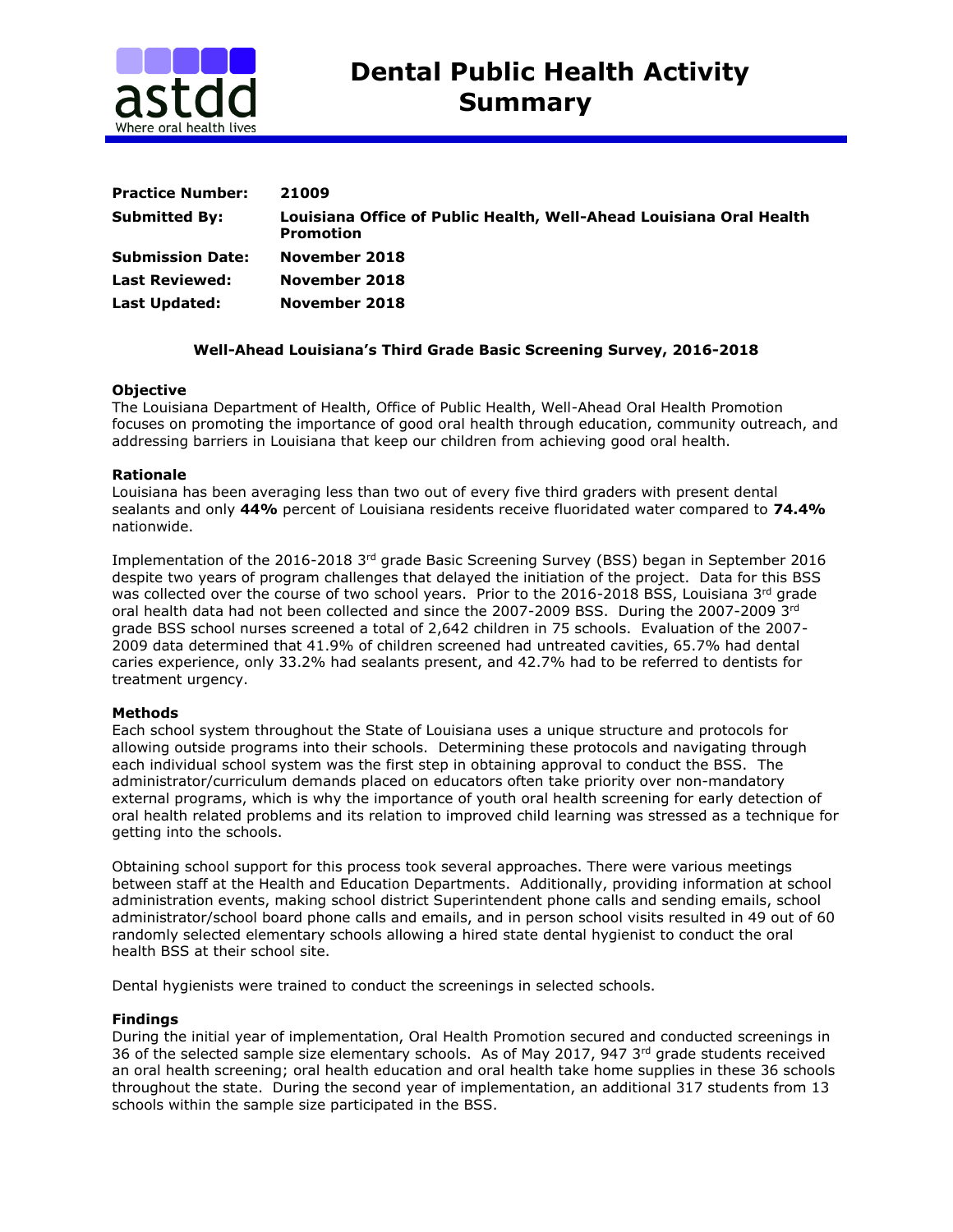

| <b>Practice Number:</b> | 21009                                                                                   |
|-------------------------|-----------------------------------------------------------------------------------------|
| <b>Submitted By:</b>    | Louisiana Office of Public Health, Well-Ahead Louisiana Oral Health<br><b>Promotion</b> |
| <b>Submission Date:</b> | November 2018                                                                           |
| <b>Last Reviewed:</b>   | November 2018                                                                           |
| <b>Last Updated:</b>    | November 2018                                                                           |

# **Well-Ahead Louisiana's Third Grade Basic Screening Survey, 2016-2018**

## **Objective**

The Louisiana Department of Health, Office of Public Health, Well-Ahead Oral Health Promotion focuses on promoting the importance of good oral health through education, community outreach, and addressing barriers in Louisiana that keep our children from achieving good oral health.

## **Rationale**

Louisiana has been averaging less than two out of every five third graders with present dental sealants and only **44%** percent of Louisiana residents receive fluoridated water compared to **74.4%**  nationwide.

Implementation of the 2016-2018 3rd grade Basic Screening Survey (BSS) began in September 2016 despite two years of program challenges that delayed the initiation of the project. Data for this BSS was collected over the course of two school years. Prior to the 2016-2018 BSS, Louisiana  $3<sup>rd</sup>$  grade oral health data had not been collected and since the 2007-2009 BSS. During the 2007-2009 3rd grade BSS school nurses screened a total of 2,642 children in 75 schools. Evaluation of the 2007- 2009 data determined that 41.9% of children screened had untreated cavities, 65.7% had dental caries experience, only 33.2% had sealants present, and 42.7% had to be referred to dentists for treatment urgency.

### **Methods**

Each school system throughout the State of Louisiana uses a unique structure and protocols for allowing outside programs into their schools. Determining these protocols and navigating through each individual school system was the first step in obtaining approval to conduct the BSS. The administrator/curriculum demands placed on educators often take priority over non-mandatory external programs, which is why the importance of youth oral health screening for early detection of oral health related problems and its relation to improved child learning was stressed as a technique for getting into the schools.

Obtaining school support for this process took several approaches. There were various meetings between staff at the Health and Education Departments. Additionally, providing information at school administration events, making school district Superintendent phone calls and sending emails, school administrator/school board phone calls and emails, and in person school visits resulted in 49 out of 60 randomly selected elementary schools allowing a hired state dental hygienist to conduct the oral health BSS at their school site.

Dental hygienists were trained to conduct the screenings in selected schools.

### **Findings**

During the initial year of implementation, Oral Health Promotion secured and conducted screenings in 36 of the selected sample size elementary schools. As of May 2017, 947 3rd grade students received an oral health screening; oral health education and oral health take home supplies in these 36 schools throughout the state. During the second year of implementation, an additional 317 students from 13 schools within the sample size participated in the BSS.